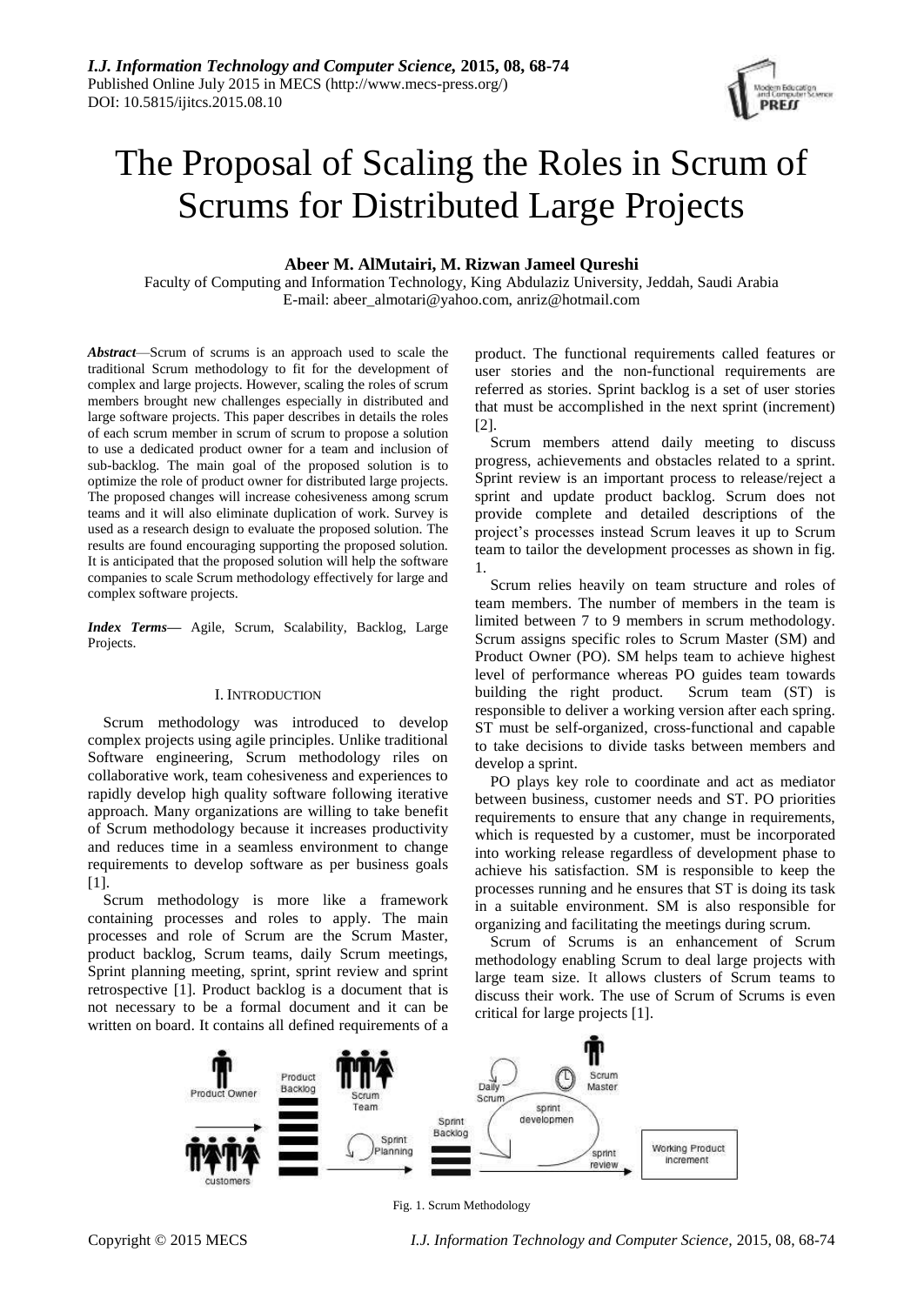# The Proposal of Scaling the Roles in Scrum of Scrums for Distributed Large Projects

# **Abeer M. AlMutairi, M. Rizwan Jameel Qureshi**

Faculty of Computing and Information Technology, King Abdulaziz University, Jeddah, Saudi Arabia E-mail: abeer\_almotari@yahoo.com, anriz@hotmail.com

*Abstract*—Scrum of scrums is an approach used to scale the traditional Scrum methodology to fit for the development of complex and large projects. However, scaling the roles of scrum members brought new challenges especially in distributed and large software projects. This paper describes in details the roles of each scrum member in scrum of scrum to propose a solution to use a dedicated product owner for a team and inclusion of sub-backlog. The main goal of the proposed solution is to optimize the role of product owner for distributed large projects. The proposed changes will increase cohesiveness among scrum teams and it will also eliminate duplication of work. Survey is used as a research design to evaluate the proposed solution. The results are found encouraging supporting the proposed solution. It is anticipated that the proposed solution will help the software companies to scale Scrum methodology effectively for large and complex software projects.

*Index Terms—* Agile, Scrum, Scalability, Backlog, Large Projects.

#### I. INTRODUCTION

Scrum methodology was introduced to develop complex projects using agile principles. Unlike traditional Software engineering, Scrum methodology riles on collaborative work, team cohesiveness and experiences to rapidly develop high quality software following iterative approach. Many organizations are willing to take benefit of Scrum methodology because it increases productivity and reduces time in a seamless environment to change requirements to develop software as per business goals [1].

Scrum methodology is more like a framework containing processes and roles to apply. The main processes and role of Scrum are the Scrum Master, product backlog, Scrum teams, daily Scrum meetings, Sprint planning meeting, sprint, sprint review and sprint retrospective [1]. Product backlog is a document that is not necessary to be a formal document and it can be written on board. It contains all defined requirements of a product. The functional requirements called features or user stories and the non-functional requirements are referred as stories. Sprint backlog is a set of user stories that must be accomplished in the next sprint (increment) [2].

Scrum members attend daily meeting to discuss progress, achievements and obstacles related to a sprint. Sprint review is an important process to release/reject a sprint and update product backlog. Scrum does not provide complete and detailed descriptions of the project's processes instead Scrum leaves it up to Scrum team to tailor the development processes as shown in fig. 1.

Scrum relies heavily on team structure and roles of team members. The number of members in the team is limited between 7 to 9 members in scrum methodology. Scrum assigns specific roles to Scrum Master (SM) and Product Owner (PO). SM helps team to achieve highest level of performance whereas PO guides team towards building the right product. Scrum team (ST) is responsible to deliver a working version after each spring. ST must be self-organized, cross-functional and capable to take decisions to divide tasks between members and develop a sprint.

PO plays key role to coordinate and act as mediator between business, customer needs and ST. PO priorities requirements to ensure that any change in requirements, which is requested by a customer, must be incorporated into working release regardless of development phase to achieve his satisfaction. SM is responsible to keep the processes running and he ensures that ST is doing its task in a suitable environment. SM is also responsible for organizing and facilitating the meetings during scrum.

Scrum of Scrums is an enhancement of Scrum methodology enabling Scrum to deal large projects with large team size. It allows clusters of Scrum teams to discuss their work. The use of Scrum of Scrums is even critical for large projects [1].



Fig. 1. Scrum Methodology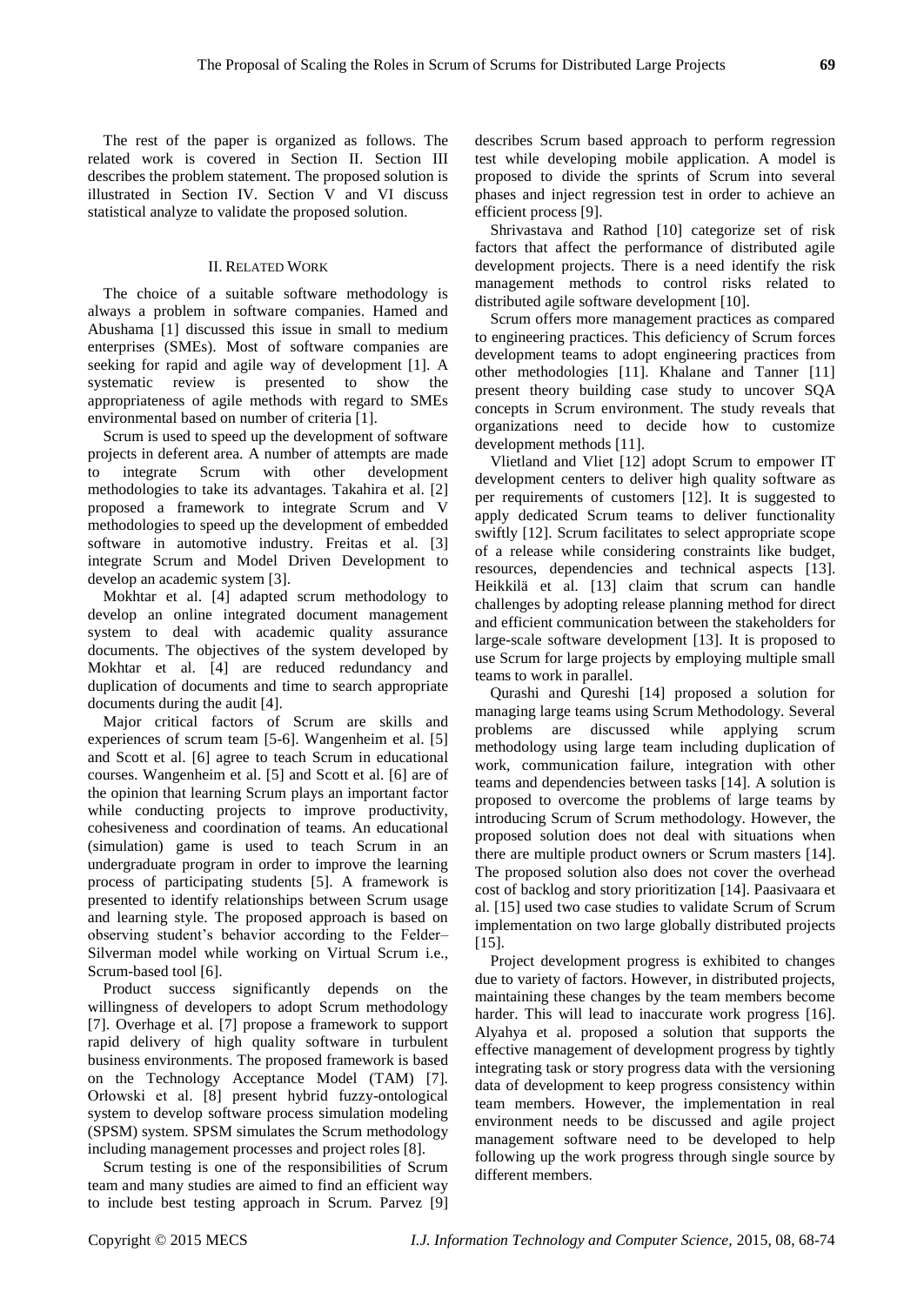The rest of the paper is organized as follows. The related work is covered in Section II. Section III describes the problem statement. The proposed solution is illustrated in Section IV. Section V and VI discuss statistical analyze to validate the proposed solution.

# II. RELATED WORK

The choice of a suitable software methodology is always a problem in software companies. Hamed and Abushama [1] discussed this issue in small to medium enterprises (SMEs). Most of software companies are seeking for rapid and agile way of development [1]. A systematic review is presented to show the appropriateness of agile methods with regard to SMEs environmental based on number of criteria [1].

Scrum is used to speed up the development of software projects in deferent area. A number of attempts are made to integrate Scrum with other development methodologies to take its advantages. Takahira et al. [2] proposed a framework to integrate Scrum and V methodologies to speed up the development of embedded software in automotive industry. Freitas et al. [3] integrate Scrum and Model Driven Development to develop an academic system [3].

Mokhtar et al. [4] adapted scrum methodology to develop an online integrated document management system to deal with academic quality assurance documents. The objectives of the system developed by Mokhtar et al. [4] are reduced redundancy and duplication of documents and time to search appropriate documents during the audit [4].

Major critical factors of Scrum are skills and experiences of scrum team [5-6]. Wangenheim et al. [5] and Scott et al. [6] agree to teach Scrum in educational courses. Wangenheim et al. [5] and Scott et al. [6] are of the opinion that learning Scrum plays an important factor while conducting projects to improve productivity, cohesiveness and coordination of teams. An educational (simulation) game is used to teach Scrum in an undergraduate program in order to improve the learning process of participating students [5]. A framework is presented to identify relationships between Scrum usage and learning style. The proposed approach is based on observing student's behavior according to the Felder– Silverman model while working on Virtual Scrum i.e., Scrum-based tool [6].

Product success significantly depends on the willingness of developers to adopt Scrum methodology [7]. Overhage et al. [7] propose a framework to support rapid delivery of high quality software in turbulent business environments. The proposed framework is based on the Technology Acceptance Model (TAM) [7]. Orłowski et al. [8] present hybrid fuzzy-ontological system to develop software process simulation modeling (SPSM) system. SPSM simulates the Scrum methodology including management processes and project roles [8].

Scrum testing is one of the responsibilities of Scrum team and many studies are aimed to find an efficient way to include best testing approach in Scrum. Parvez [9] describes Scrum based approach to perform regression test while developing mobile application. A model is proposed to divide the sprints of Scrum into several phases and inject regression test in order to achieve an efficient process [9].

Shrivastava and Rathod [10] categorize set of risk factors that affect the performance of distributed agile development projects. There is a need identify the risk management methods to control risks related to distributed agile software development [10].

Scrum offers more management practices as compared to engineering practices. This deficiency of Scrum forces development teams to adopt engineering practices from other methodologies [11]. Khalane and Tanner [11] present theory building case study to uncover SQA concepts in Scrum environment. The study reveals that organizations need to decide how to customize development methods [11].

Vlietland and Vliet [12] adopt Scrum to empower IT development centers to deliver high quality software as per requirements of customers [12]. It is suggested to apply dedicated Scrum teams to deliver functionality swiftly [12]. Scrum facilitates to select appropriate scope of a release while considering constraints like budget, resources, dependencies and technical aspects [13]. Heikkilä et al. [13] claim that scrum can handle challenges by adopting release planning method for direct and efficient communication between the stakeholders for large-scale software development [13]. It is proposed to use Scrum for large projects by employing multiple small teams to work in parallel.

Qurashi and Qureshi [14] proposed a solution for managing large teams using Scrum Methodology. Several problems are discussed while applying scrum methodology using large team including duplication of work, communication failure, integration with other teams and dependencies between tasks [14]. A solution is proposed to overcome the problems of large teams by introducing Scrum of Scrum methodology. However, the proposed solution does not deal with situations when there are multiple product owners or Scrum masters [14]. The proposed solution also does not cover the overhead cost of backlog and story prioritization [14]. Paasivaara et al. [15] used two case studies to validate Scrum of Scrum implementation on two large globally distributed projects  $[15]$ .

Project development progress is exhibited to changes due to variety of factors. However, in distributed projects, maintaining these changes by the team members become harder. This will lead to inaccurate work progress [16]. Alyahya et al. proposed a solution that supports the effective management of development progress by tightly integrating task or story progress data with the versioning data of development to keep progress consistency within team members. However, the implementation in real environment needs to be discussed and agile project management software need to be developed to help following up the work progress through single source by different members.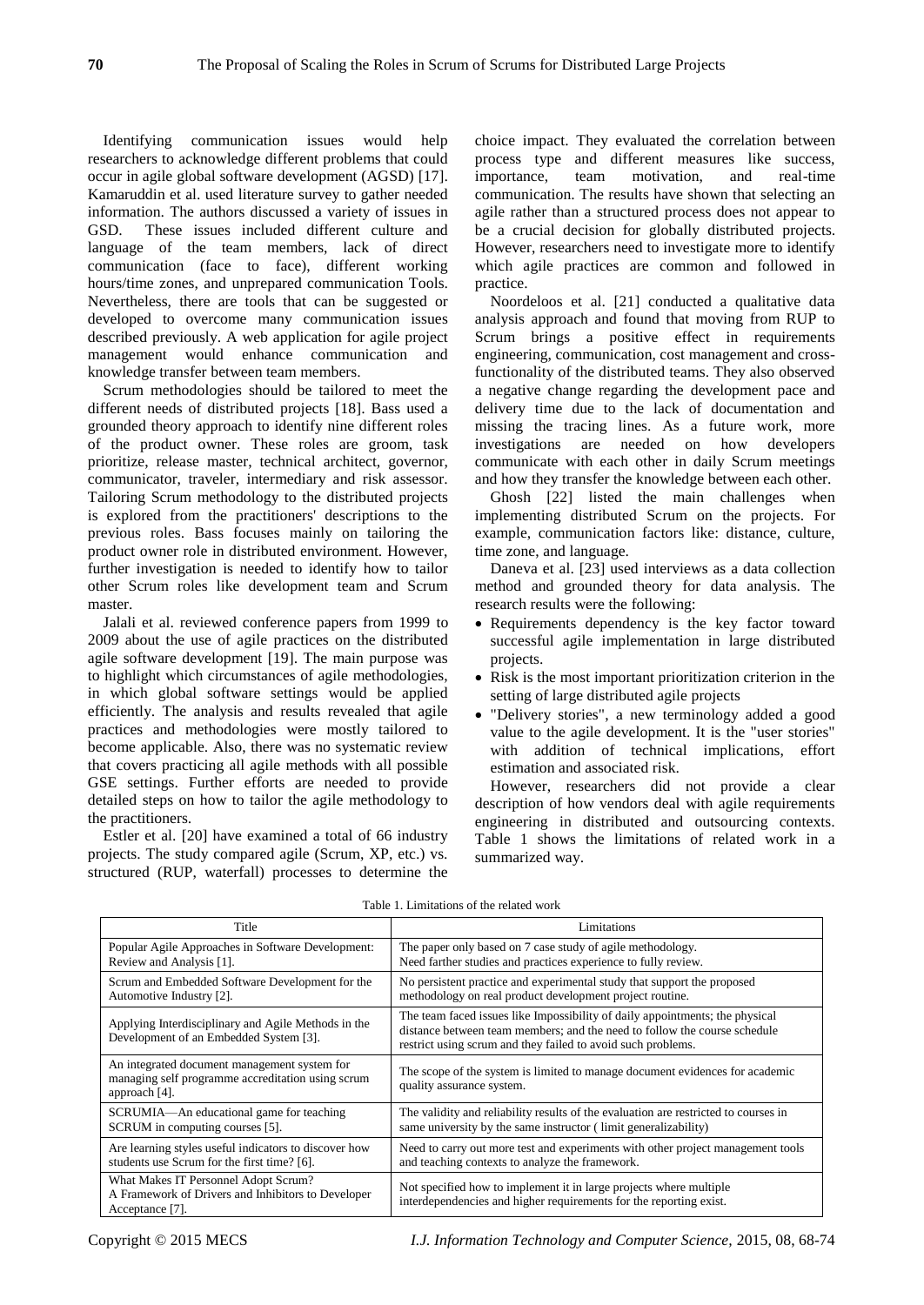Identifying communication issues would help researchers to acknowledge different problems that could occur in agile global software development (AGSD) [17]. Kamaruddin et al. used literature survey to gather needed information. The authors discussed a variety of issues in GSD. These issues included different culture and language of the team members, lack of direct communication (face to face), different working hours/time zones, and unprepared communication Tools. Nevertheless, there are tools that can be suggested or developed to overcome many communication issues described previously. A web application for agile project management would enhance communication and knowledge transfer between team members.

Scrum methodologies should be tailored to meet the different needs of distributed projects [18]. Bass used a grounded theory approach to identify nine different roles of the product owner. These roles are groom, task prioritize, release master, technical architect, governor, communicator, traveler, intermediary and risk assessor. Tailoring Scrum methodology to the distributed projects is explored from the practitioners' descriptions to the previous roles. Bass focuses mainly on tailoring the product owner role in distributed environment. However, further investigation is needed to identify how to tailor other Scrum roles like development team and Scrum master.

Jalali et al. reviewed conference papers from 1999 to 2009 about the use of agile practices on the distributed agile software development [19]. The main purpose was to highlight which circumstances of agile methodologies, in which global software settings would be applied efficiently. The analysis and results revealed that agile practices and methodologies were mostly tailored to become applicable. Also, there was no systematic review that covers practicing all agile methods with all possible GSE settings. Further efforts are needed to provide detailed steps on how to tailor the agile methodology to the practitioners.

Estler et al. [20] have examined a total of 66 industry projects. The study compared agile (Scrum, XP, etc.) vs. structured (RUP, waterfall) processes to determine the

choice impact. They evaluated the correlation between process type and different measures like success, importance, team motivation, and real-time communication. The results have shown that selecting an agile rather than a structured process does not appear to be a crucial decision for globally distributed projects. However, researchers need to investigate more to identify which agile practices are common and followed in practice.

Noordeloos et al. [21] conducted a qualitative data analysis approach and found that moving from RUP to Scrum brings a positive effect in requirements engineering, communication, cost management and crossfunctionality of the distributed teams. They also observed a negative change regarding the development pace and delivery time due to the lack of documentation and missing the tracing lines. As a future work, more investigations are needed on how developers communicate with each other in daily Scrum meetings and how they transfer the knowledge between each other.

Ghosh [22] listed the main challenges when implementing distributed Scrum on the projects. For example, communication factors like: distance, culture, time zone, and language.

Daneva et al. [23] used interviews as a data collection method and grounded theory for data analysis. The research results were the following:

- Requirements dependency is the key factor toward successful agile implementation in large distributed projects.
- Risk is the most important prioritization criterion in the setting of large distributed agile projects
- "Delivery stories", a new terminology added a good value to the agile development. It is the "user stories" with addition of technical implications, effort estimation and associated risk.

However, researchers did not provide a clear description of how vendors deal with agile requirements engineering in distributed and outsourcing contexts. Table 1 shows the limitations of related work in a summarized way.

| Title                                                                                                              | Limitations                                                                                                                                                                                                               |  |  |
|--------------------------------------------------------------------------------------------------------------------|---------------------------------------------------------------------------------------------------------------------------------------------------------------------------------------------------------------------------|--|--|
| Popular Agile Approaches in Software Development:                                                                  | The paper only based on 7 case study of agile methodology.                                                                                                                                                                |  |  |
| Review and Analysis [1].                                                                                           | Need farther studies and practices experience to fully review.                                                                                                                                                            |  |  |
| Scrum and Embedded Software Development for the                                                                    | No persistent practice and experimental study that support the proposed                                                                                                                                                   |  |  |
| Automotive Industry [2].                                                                                           | methodology on real product development project routine.                                                                                                                                                                  |  |  |
| Applying Interdisciplinary and Agile Methods in the<br>Development of an Embedded System [3].                      | The team faced issues like Impossibility of daily appointments; the physical<br>distance between team members; and the need to follow the course schedule<br>restrict using scrum and they failed to avoid such problems. |  |  |
| An integrated document management system for<br>managing self programme accreditation using scrum<br>approach [4]. | The scope of the system is limited to manage document evidences for academic<br>quality assurance system.                                                                                                                 |  |  |
| SCRUMIA—An educational game for teaching                                                                           | The validity and reliability results of the evaluation are restricted to courses in                                                                                                                                       |  |  |
| SCRUM in computing courses [5].                                                                                    | same university by the same instructor (limit generalizability)                                                                                                                                                           |  |  |
| Are learning styles useful indicators to discover how                                                              | Need to carry out more test and experiments with other project management tools                                                                                                                                           |  |  |
| students use Scrum for the first time? [6].                                                                        | and teaching contexts to analyze the framework.                                                                                                                                                                           |  |  |
| What Makes IT Personnel Adopt Scrum?<br>A Framework of Drivers and Inhibitors to Developer<br>Acceptance [7].      | Not specified how to implement it in large projects where multiple<br>interdependencies and higher requirements for the reporting exist.                                                                                  |  |  |

Table 1. Limitations of the related work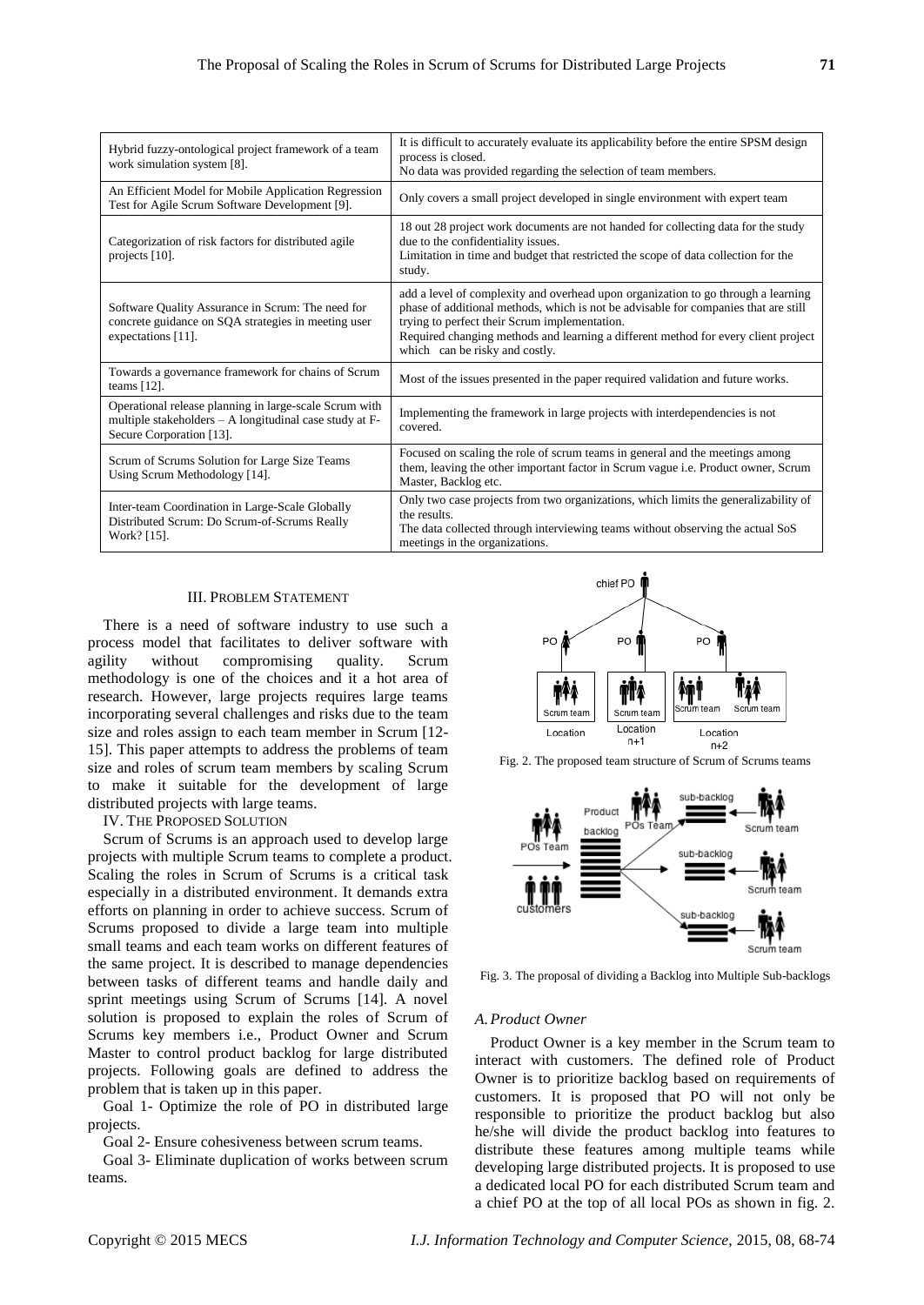| Hybrid fuzzy-ontological project framework of a team<br>work simulation system [8].                                                           | It is difficult to accurately evaluate its applicability before the entire SPSM design<br>process is closed.<br>No data was provided regarding the selection of team members.                                                                                                                                                                     |
|-----------------------------------------------------------------------------------------------------------------------------------------------|---------------------------------------------------------------------------------------------------------------------------------------------------------------------------------------------------------------------------------------------------------------------------------------------------------------------------------------------------|
| An Efficient Model for Mobile Application Regression<br>Test for Agile Scrum Software Development [9].                                        | Only covers a small project developed in single environment with expert team                                                                                                                                                                                                                                                                      |
| Categorization of risk factors for distributed agile<br>projects [10].                                                                        | 18 out 28 project work documents are not handed for collecting data for the study<br>due to the confidentiality issues.<br>Limitation in time and budget that restricted the scope of data collection for the<br>study.                                                                                                                           |
| Software Quality Assurance in Scrum: The need for<br>concrete guidance on SQA strategies in meeting user<br>expectations [11].                | add a level of complexity and overhead upon organization to go through a learning<br>phase of additional methods, which is not be advisable for companies that are still<br>trying to perfect their Scrum implementation.<br>Required changing methods and learning a different method for every client project<br>which can be risky and costly. |
| Towards a governance framework for chains of Scrum<br>teams $[12]$ .                                                                          | Most of the issues presented in the paper required validation and future works.                                                                                                                                                                                                                                                                   |
| Operational release planning in large-scale Scrum with<br>multiple stakeholders – A longitudinal case study at F-<br>Secure Corporation [13]. | Implementing the framework in large projects with interdependencies is not<br>covered.                                                                                                                                                                                                                                                            |
| Scrum of Scrums Solution for Large Size Teams<br>Using Scrum Methodology [14].                                                                | Focused on scaling the role of scrum teams in general and the meetings among<br>them, leaving the other important factor in Scrum vague i.e. Product owner, Scrum<br>Master, Backlog etc.                                                                                                                                                         |
| Inter-team Coordination in Large-Scale Globally<br>Distributed Scrum: Do Scrum-of-Scrums Really<br>Work? [15].                                | Only two case projects from two organizations, which limits the generalizability of<br>the results.<br>The data collected through interviewing teams without observing the actual SoS<br>meetings in the organizations.                                                                                                                           |

#### III. PROBLEM STATEMENT

There is a need of software industry to use such a process model that facilitates to deliver software with agility without compromising quality. Scrum methodology is one of the choices and it a hot area of research. However, large projects requires large teams incorporating several challenges and risks due to the team size and roles assign to each team member in Scrum [12- 15]. This paper attempts to address the problems of team size and roles of scrum team members by scaling Scrum to make it suitable for the development of large distributed projects with large teams.

IV. THE PROPOSED SOLUTION

Scrum of Scrums is an approach used to develop large projects with multiple Scrum teams to complete a product. Scaling the roles in Scrum of Scrums is a critical task especially in a distributed environment. It demands extra efforts on planning in order to achieve success. Scrum of Scrums proposed to divide a large team into multiple small teams and each team works on different features of the same project. It is described to manage dependencies between tasks of different teams and handle daily and sprint meetings using Scrum of Scrums [14]. A novel solution is proposed to explain the roles of Scrum of Scrums key members i.e., Product Owner and Scrum Master to control product backlog for large distributed projects. Following goals are defined to address the problem that is taken up in this paper.

Goal 1- Optimize the role of PO in distributed large projects.

Goal 2- Ensure cohesiveness between scrum teams.

Goal 3- Eliminate duplication of works between scrum teams.



Fig. 2. The proposed team structure of Scrum of Scrums teams



Fig. 3. The proposal of dividing a Backlog into Multiple Sub-backlogs

#### *A.Product Owner*

Product Owner is a key member in the Scrum team to interact with customers. The defined role of Product Owner is to prioritize backlog based on requirements of customers. It is proposed that PO will not only be responsible to prioritize the product backlog but also he/she will divide the product backlog into features to distribute these features among multiple teams while developing large distributed projects. It is proposed to use a dedicated local PO for each distributed Scrum team and a chief PO at the top of all local POs as shown in fig. 2.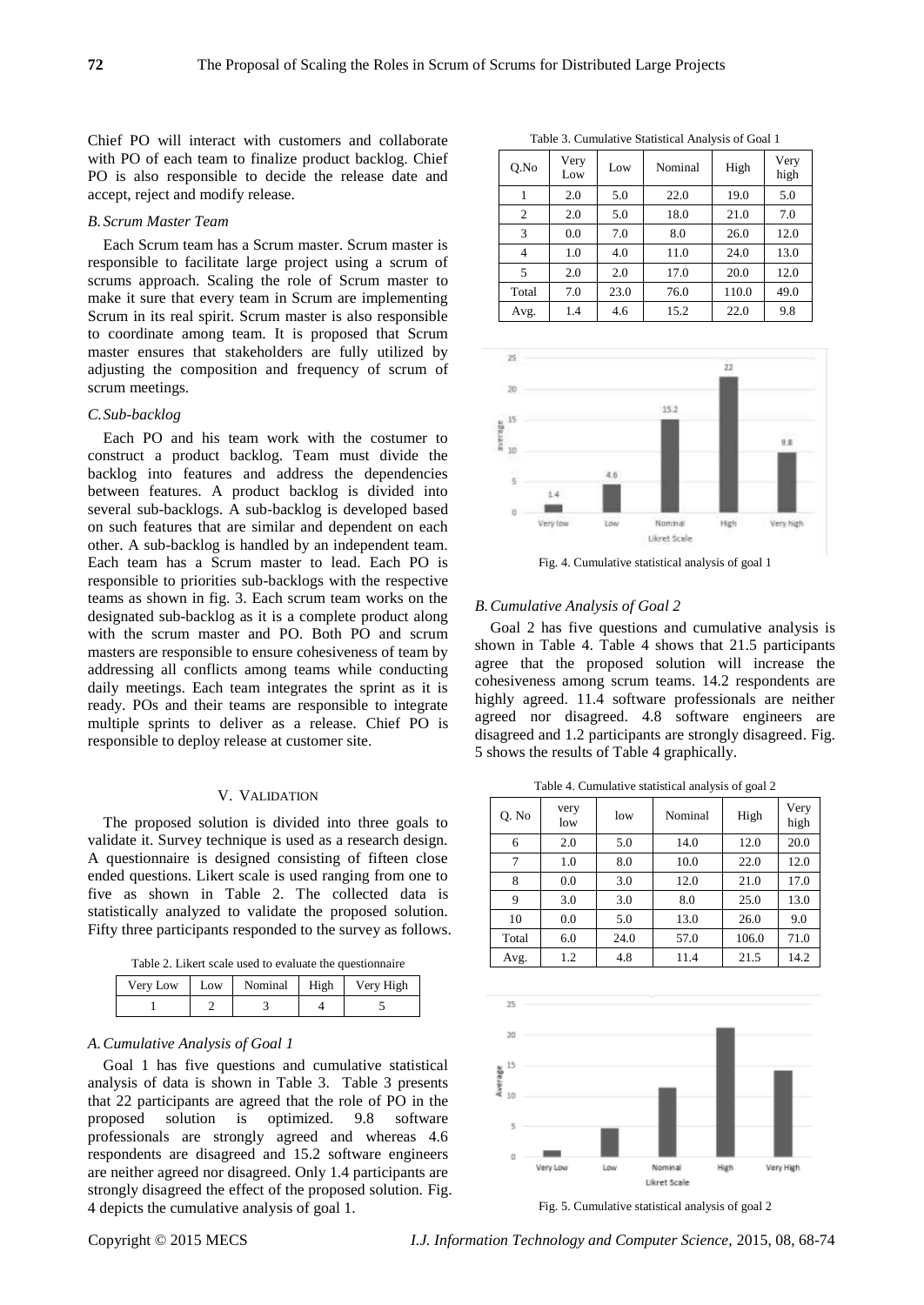Chief PO will interact with customers and collaborate with PO of each team to finalize product backlog. Chief PO is also responsible to decide the release date and accept, reject and modify release.

#### *B. Scrum Master Team*

Each Scrum team has a Scrum master. Scrum master is responsible to facilitate large project using a scrum of scrums approach. Scaling the role of Scrum master to make it sure that every team in Scrum are implementing Scrum in its real spirit. Scrum master is also responsible to coordinate among team. It is proposed that Scrum master ensures that stakeholders are fully utilized by adjusting the composition and frequency of scrum of scrum meetings.

### *C.Sub-backlog*

Each PO and his team work with the costumer to construct a product backlog. Team must divide the backlog into features and address the dependencies between features. A product backlog is divided into several sub-backlogs. A sub-backlog is developed based on such features that are similar and dependent on each other. A sub-backlog is handled by an independent team. Each team has a Scrum master to lead. Each PO is responsible to priorities sub-backlogs with the respective teams as shown in fig. 3. Each scrum team works on the designated sub-backlog as it is a complete product along with the scrum master and PO. Both PO and scrum masters are responsible to ensure cohesiveness of team by addressing all conflicts among teams while conducting daily meetings. Each team integrates the sprint as it is ready. POs and their teams are responsible to integrate multiple sprints to deliver as a release. Chief PO is responsible to deploy release at customer site.

#### V. VALIDATION

The proposed solution is divided into three goals to validate it. Survey technique is used as a research design. A questionnaire is designed consisting of fifteen close ended questions. Likert scale is used ranging from one to five as shown in Table 2. The collected data is statistically analyzed to validate the proposed solution. Fifty three participants responded to the survey as follows.

Table 2. Likert scale used to evaluate the questionnaire

| Very Low | Low | Nominal | High | Very High |
|----------|-----|---------|------|-----------|
|          |     |         |      |           |

# *A.Cumulative Analysis of Goal 1*

Goal 1 has five questions and cumulative statistical analysis of data is shown in Table 3. Table 3 presents that 22 participants are agreed that the role of PO in the proposed solution is optimized. 9.8 software professionals are strongly agreed and whereas 4.6 respondents are disagreed and 15.2 software engineers are neither agreed nor disagreed. Only 1.4 participants are strongly disagreed the effect of the proposed solution. Fig. 4 depicts the cumulative analysis of goal 1.

| Q.No           | Very<br>Low | Low  | Nominal | High  | Very<br>high |
|----------------|-------------|------|---------|-------|--------------|
|                | 2.0         | 5.0  | 22.0    | 19.0  | 5.0          |
| $\overline{2}$ | 2.0         | 5.0  | 18.0    | 21.0  | 7.0          |
| 3              | 0.0         | 7.0  | 8.0     | 26.0  | 12.0         |
| 4              | 1.0         | 4.0  | 11.0    | 24.0  | 13.0         |
| 5              | 2.0         | 2.0  | 17.0    | 20.0  | 12.0         |
| Total          | 7.0         | 23.0 | 76.0    | 110.0 | 49.0         |
| Avg.           | 1.4         | 4.6  | 15.2    | 22.0  | 9.8          |

Table 3. Cumulative Statistical Analysis of Goal 1



Fig. 4. Cumulative statistical analysis of goal 1

#### *B.Cumulative Analysis of Goal 2*

Goal 2 has five questions and cumulative analysis is shown in Table 4. Table 4 shows that 21.5 participants agree that the proposed solution will increase the cohesiveness among scrum teams. 14.2 respondents are highly agreed. 11.4 software professionals are neither agreed nor disagreed. 4.8 software engineers are disagreed and 1.2 participants are strongly disagreed. Fig. 5 shows the results of Table 4 graphically.

Table 4. Cumulative statistical analysis of goal 2

| Q. No | very<br>low | low  | Nominal | High  | Very<br>high |
|-------|-------------|------|---------|-------|--------------|
| 6     | 2.0         | 5.0  | 14.0    | 12.0  | 20.0         |
| 7     | 1.0         | 8.0  | 10.0    | 22.0  | 12.0         |
| 8     | 0.0         | 3.0  | 12.0    | 21.0  | 17.0         |
| 9     | 3.0         | 3.0  | 8.0     | 25.0  | 13.0         |
| 10    | 0.0         | 5.0  | 13.0    | 26.0  | 9.0          |
| Total | 6.0         | 24.0 | 57.0    | 106.0 | 71.0         |
| Avg.  | 1.2         | 4.8  | 11.4    | 21.5  | 14.2         |



Fig. 5. Cumulative statistical analysis of goal 2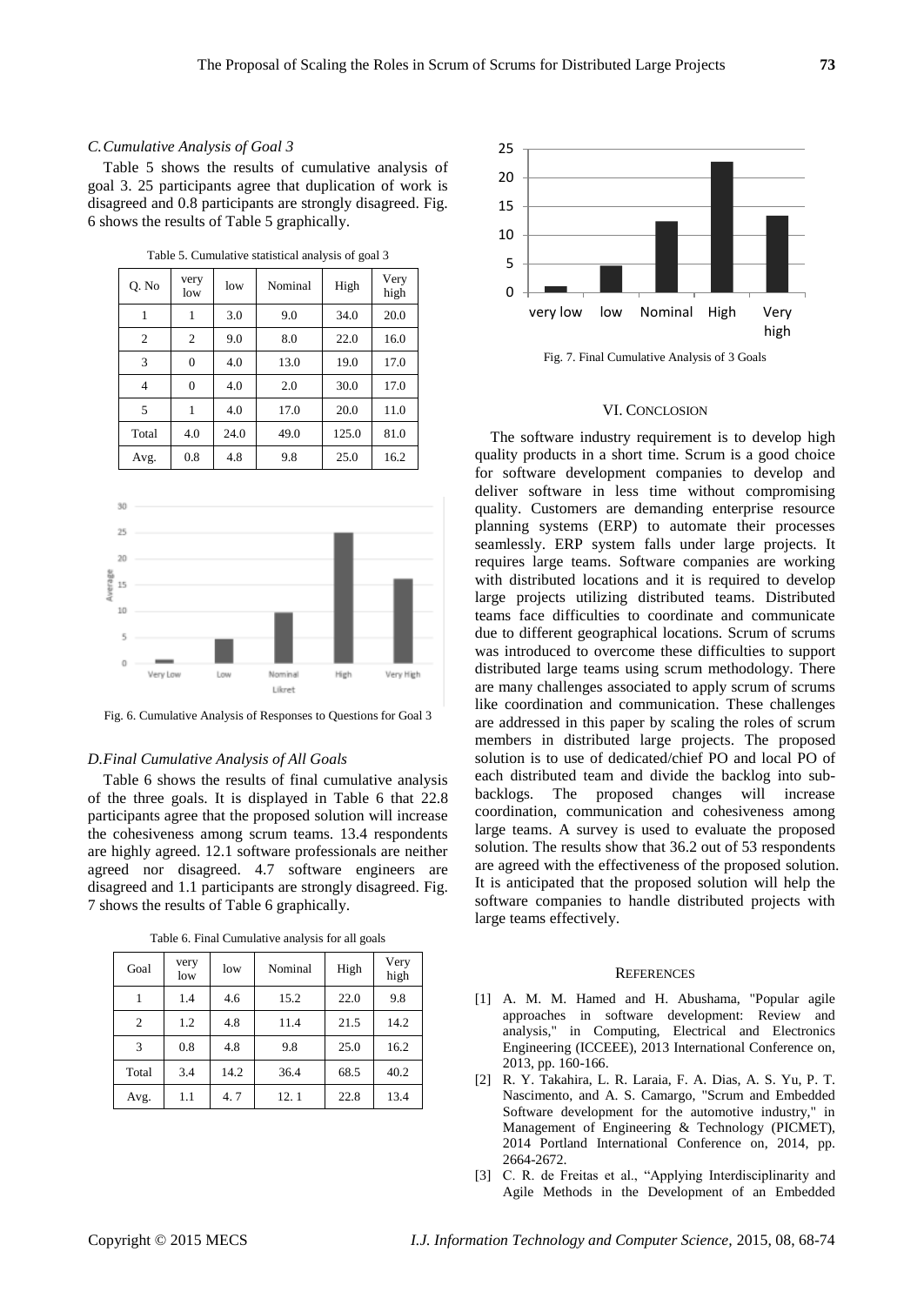# *C.Cumulative Analysis of Goal 3*

Table 5 shows the results of cumulative analysis of goal 3. 25 participants agree that duplication of work is disagreed and 0.8 participants are strongly disagreed. Fig. 6 shows the results of Table 5 graphically.

| Q. No          | very<br>low    | low  | Nominal | High  | Very<br>high |
|----------------|----------------|------|---------|-------|--------------|
| 1              | 1              | 3.0  | 9.0     | 34.0  | 20.0         |
| $\overline{2}$ | 2              | 9.0  | 8.0     | 22.0  | 16.0         |
| 3              | $\overline{0}$ | 4.0  | 13.0    | 19.0  | 17.0         |
| 4              | $\overline{0}$ | 4.0  | 2.0     | 30.0  | 17.0         |
| 5              |                | 4.0  | 17.0    | 20.0  | 11.0         |
| Total          | 4.0            | 24.0 | 49.0    | 125.0 | 81.0         |
| Avg.           | 0.8            | 4.8  | 9.8     | 25.0  | 16.2         |

Table 5. Cumulative statistical analysis of goal 3



Fig. 6. Cumulative Analysis of Responses to Questions for Goal 3

#### *D.Final Cumulative Analysis of All Goals*

Table 6 shows the results of final cumulative analysis of the three goals. It is displayed in Table 6 that 22.8 participants agree that the proposed solution will increase the cohesiveness among scrum teams. 13.4 respondents are highly agreed. 12.1 software professionals are neither agreed nor disagreed. 4.7 software engineers are disagreed and 1.1 participants are strongly disagreed. Fig. 7 shows the results of Table 6 graphically.

| Goal  | very<br>low | low  | Nominal | High | Very<br>high |
|-------|-------------|------|---------|------|--------------|
|       | 1.4         | 4.6  | 15.2    | 22.0 | 9.8          |
| 2     | 1.2         | 4.8  | 11.4    | 21.5 | 14.2         |
| 3     | 0.8         | 4.8  | 9.8     | 25.0 | 16.2         |
| Total | 3.4         | 14.2 | 36.4    | 68.5 | 40.2         |
| Avg.  | 1.1         | 4.7  | 12.1    | 22.8 | 13.4         |

Table 6. Final Cumulative analysis for all goals



Fig. 7. Final Cumulative Analysis of 3 Goals

#### VI. CONCLOSION

The software industry requirement is to develop high quality products in a short time. Scrum is a good choice for software development companies to develop and deliver software in less time without compromising quality. Customers are demanding enterprise resource planning systems (ERP) to automate their processes seamlessly. ERP system falls under large projects. It requires large teams. Software companies are working with distributed locations and it is required to develop large projects utilizing distributed teams. Distributed teams face difficulties to coordinate and communicate due to different geographical locations. Scrum of scrums was introduced to overcome these difficulties to support distributed large teams using scrum methodology. There are many challenges associated to apply scrum of scrums like coordination and communication. These challenges are addressed in this paper by scaling the roles of scrum members in distributed large projects. The proposed solution is to use of dedicated/chief PO and local PO of each distributed team and divide the backlog into subbacklogs. The proposed changes will increase coordination, communication and cohesiveness among large teams. A survey is used to evaluate the proposed solution. The results show that 36.2 out of 53 respondents are agreed with the effectiveness of the proposed solution. It is anticipated that the proposed solution will help the software companies to handle distributed projects with large teams effectively.

#### **REFERENCES**

- [1] A. M. M. Hamed and H. Abushama, "Popular agile approaches in software development: Review and analysis," in Computing, Electrical and Electronics Engineering (ICCEEE), 2013 International Conference on, 2013, pp. 160-166.
- [2] R. Y. Takahira, L. R. Laraia, F. A. Dias, A. S. Yu, P. T. Nascimento, and A. S. Camargo, "Scrum and Embedded Software development for the automotive industry," in Management of Engineering & Technology (PICMET), 2014 Portland International Conference on, 2014, pp. 2664-2672.
- [3] C. R. de Freitas et al., "Applying Interdisciplinarity and Agile Methods in the Development of an Embedded